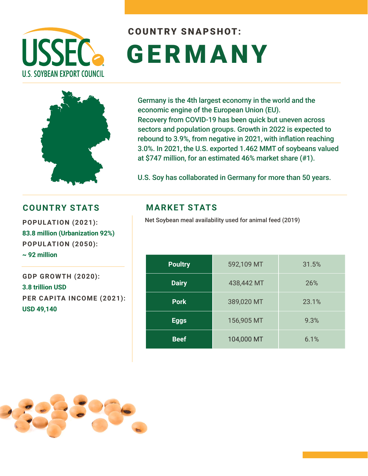

# COUNTRY SNAPSHOT: GERM ANY



Germany is the 4th largest economy in the world and the economic engine of the European Union (EU). Recovery from COVID-19 has been quick but uneven across sectors and population groups. Growth in 2022 is expected to rebound to 3.9%, from negative in 2021, with inflation reaching 3.0%. In 2021, the U.S. exported 1.462 MMT of soybeans valued at \$747 million, for an estimated 46% market share (#1).

U.S. Soy has collaborated in Germany for more than 50 years.

#### **COUNTRY STATS MARKET STATS**

**83.8 million (Urbanization 92%) POPULATION (2050): ~ 92 million**

**GDP GROWTH (2020): 3.8 trillion USD PER CAPITA INCOME (2021): USD 49,140**

Net Soybean meal availability used for animal feed (2019) **POPULATION (2021):** 

| <b>Poultry</b> | 592,109 MT | 31.5% |
|----------------|------------|-------|
| <b>Dairy</b>   | 438,442 MT | 26%   |
| <b>Pork</b>    | 389,020 MT | 23.1% |
| <b>Eggs</b>    | 156,905 MT | 9.3%  |
| <b>Beef</b>    | 104,000 MT | 6.1%  |